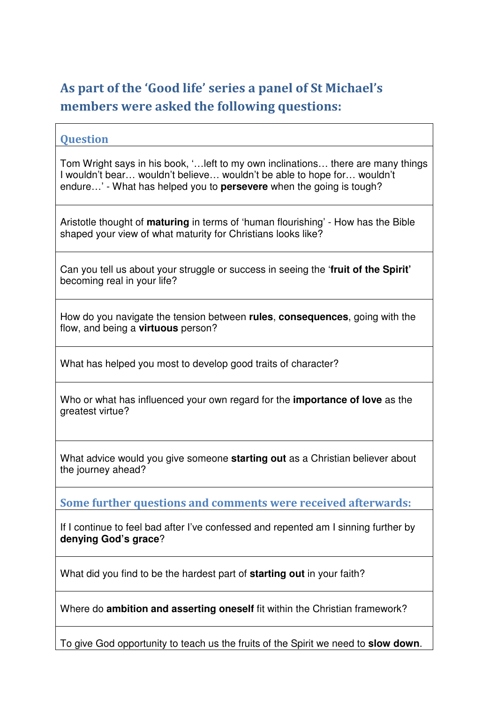## As part of the 'Good life' series a panel of St Michael's members were asked the following questions:

## **Ouestion**

Tom Wright says in his book, '…left to my own inclinations… there are many things I wouldn't bear… wouldn't believe… wouldn't be able to hope for… wouldn't endure…' - What has helped you to **persevere** when the going is tough?

Aristotle thought of **maturing** in terms of 'human flourishing' - How has the Bible shaped your view of what maturity for Christians looks like?

Can you tell us about your struggle or success in seeing the '**fruit of the Spirit'** becoming real in your life?

How do you navigate the tension between **rules**, **consequences**, going with the flow, and being a **virtuous** person?

What has helped you most to develop good traits of character?

Who or what has influenced your own regard for the **importance of love** as the greatest virtue?

What advice would you give someone **starting out** as a Christian believer about the journey ahead?

Some further questions and comments were received afterwards:

If I continue to feel bad after I've confessed and repented am I sinning further by **denying God's grace**?

What did you find to be the hardest part of **starting out** in your faith?

Where do **ambition and asserting oneself** fit within the Christian framework?

To give God opportunity to teach us the fruits of the Spirit we need to **slow down**.